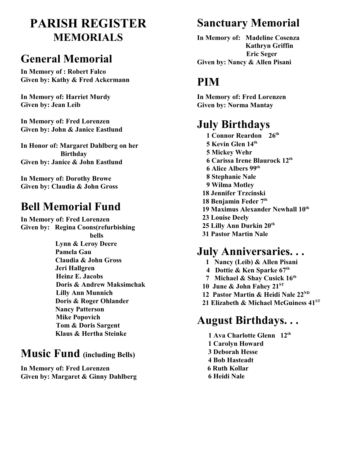# **PARISH REGISTER MEMORIALS**

### **General Memorial**

**In Memory of : Robert Falco Given by: Kathy & Fred Ackermann**

**In Memory of: Harriet Murdy Given by: Jean Leib**

**In Memory of: Fred Lorenzen Given by: John & Janice Eastlund**

**In Honor of: Margaret Dahlberg on her Birthday Given by: Janice & John Eastlund**

**In Memory of: Dorothy Browe Given by: Claudia & John Gross** 

# **Bell Memorial Fund**

**In Memory of: Fred Lorenzen Given by: Regina Coons(refurbishing bells Lynn & Leroy Deere Pamela Gau Claudia & John Gross Jeri Hallgren Heinz E. Jacobs Doris & Andrew Maksimchak Lilly Ann Munnich Doris & Roger Ohlander Nancy Patterson Mike Popovich Tom & Doris Sargent Klaus & Hertha Steinke**

### **Music Fund (including Bells)**

**In Memory of: Fred Lorenzen Given by: Margaret & Ginny Dahlberg**

### **Sanctuary Memorial**

**In Memory of: Madeline Cosenza Kathryn Griffin Eric Seger Given by: Nancy & Allen Pisani**

# **PIM**

**In Memory of: Fred Lorenzen Given by: Norma Mantay**

# **July Birthdays**

 **1 Connor Reardon 26th 5 Kevin Glen 14th 5 Mickey Wehr 6 Carissa Irene Blaurock 12th 6 Alice Albers 99th 8 Stephanie Nale 9 Wilma Motley 18 Jennifer Trzcinski 18 Benjamin Feder 7th 19 Maximus Alexander Newhall 10th 23 Louise Deely 25 Lilly Ann Durkin 20th 31 Pastor Martin Nale** 

# **July Anniversaries. . .**

- **1 Nancy (Leib) & Allen Pisani**
- **4 Dottie & Ken Sparke 67th**
- **7 Michael & Shay Cusick 16th**
- **10 June & John Fahey 21ST**
- **12 Pastor Martin & Heidi Nale 22ND**
- **21 Elizabeth & Michael McGuiness 41ST**

# **August Birthdays. . .**

**1 Ava Charlotte Glenn 12th 1 Carolyn Howard 3 Deborah Hesse 4 Bob Hasteadt 6 Ruth Kollar 6 Heidi Nale**